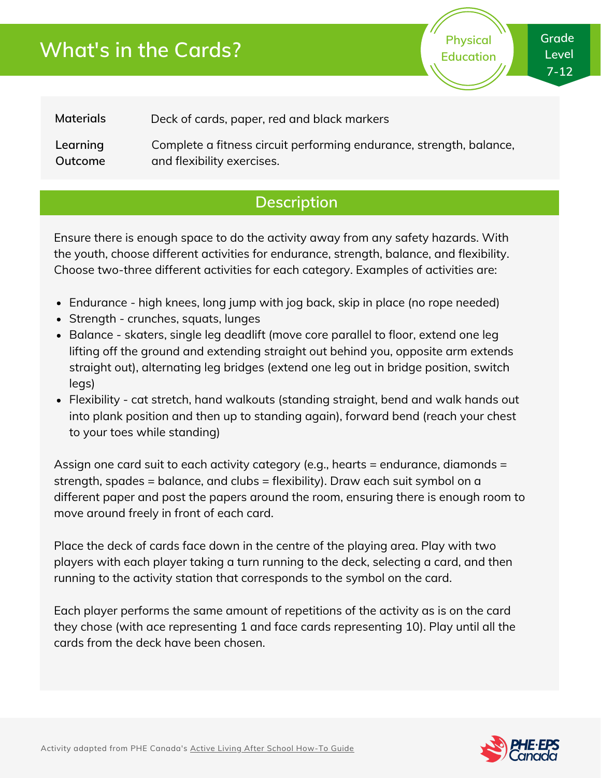# **What's in the Cards?**

**Physical Education** **Grade Level 7-12**

**Materials** Deck of cards, paper, red and black markers

**Learning Outcome** Complete a fitness circuit performing endurance, strength, balance, and flexibility exercises.

### **Description**

Ensure there is enough space to do the activity away from any safety hazards. With the youth, choose different activities for endurance, strength, balance, and flexibility. Choose two-three different activities for each category. Examples of activities are:

- Endurance high knees, long jump with jog back, skip in place (no rope needed)
- Strength crunches, squats, lunges
- Balance skaters, single leg deadlift (move core parallel to floor, extend one leg lifting off the ground and extending straight out behind you, opposite arm extends straight out), alternating leg bridges (extend one leg out in bridge position, switch legs)
- Flexibility cat stretch, hand walkouts (standing straight, bend and walk hands out into plank position and then up to standing again), forward bend (reach your chest to your toes while standing)

Assign one card suit to each activity category (e.g., hearts = endurance, diamonds = strength, spades = balance, and clubs = flexibility). Draw each suit symbol on a different paper and post the papers around the room, ensuring there is enough room to move around freely in front of each card.

Place the deck of cards face down in the centre of the playing area. Play with two players with each player taking a turn running to the deck, selecting a card, and then running to the activity station that corresponds to the symbol on the card.

Each player performs the same amount of repetitions of the activity as is on the card they chose (with ace representing 1 and face cards representing 10). Play until all the cards from the deck have been chosen.

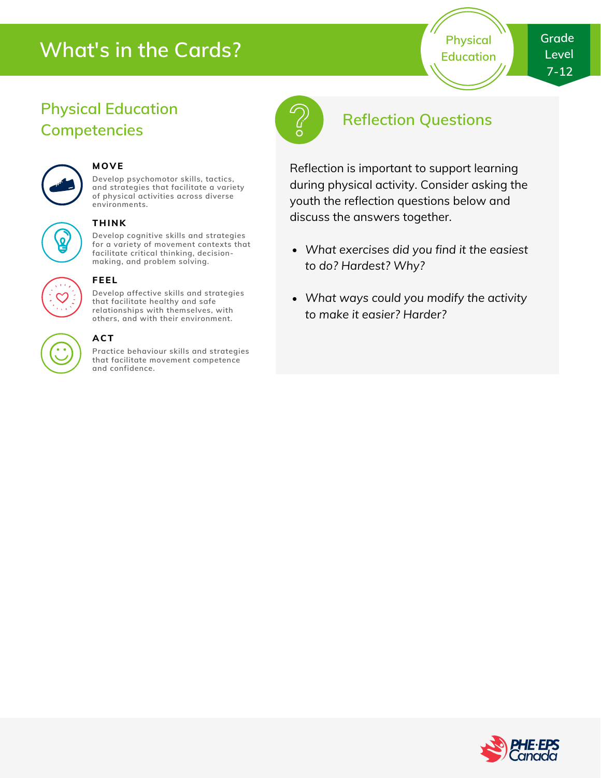# **What's in the Cards?**

**Physical Education**

## **Physical Education Competencies**



#### **MOVE**

**Develop psychomotor skills, tactics, and strategies that facilitate a variety of physical activities across diverse environments.**

#### **THINK**

**Develop cognitive skills and strategies for a variety of movement contexts that facilitate critical thinking, decision making, and problem solving.**



#### **FEEL**

**Develop affective skills and strategies that facilitate healthy and safe relationships with themselves, with others, and with their environment.**

#### **ACT**

**Practice behaviour skills and strategies that facilitate movement competence and confidence.**



## **Reflection Questions**

Reflection is important to support learning during physical activity. Consider asking the youth the reflection questions below and discuss the answers together.

- *What exercises did you find it the easiest to do? Hardest? Why?*
- *What ways could you modify the activity to make it easier? Harder?*